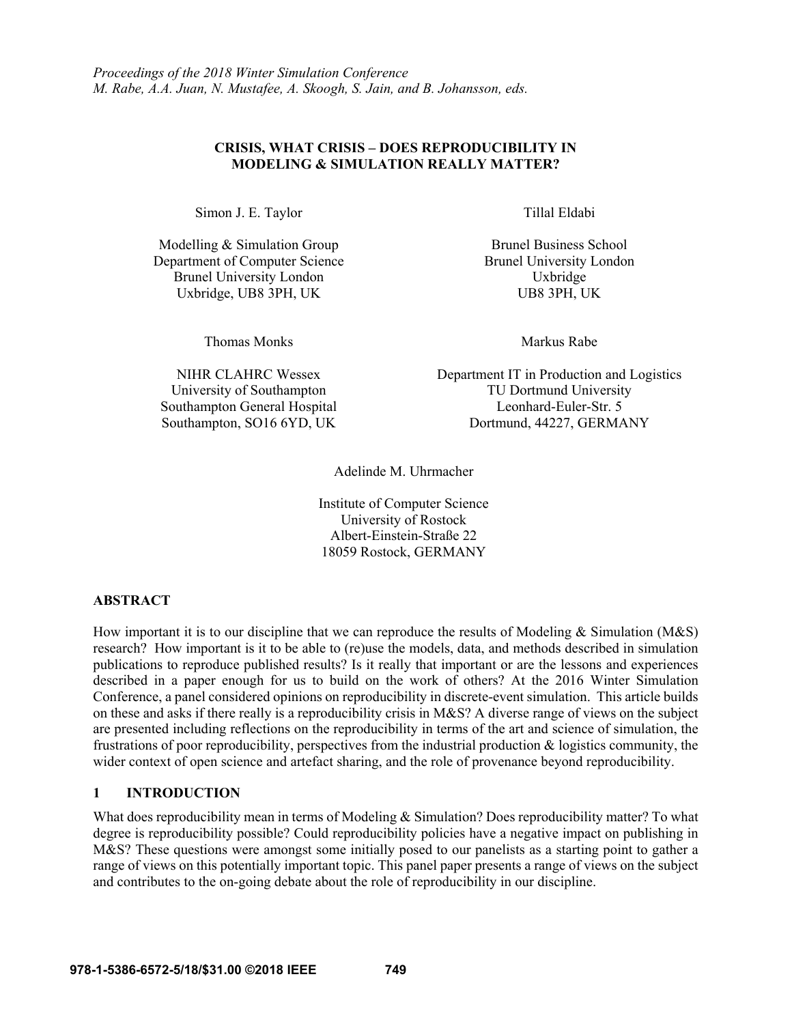## **CRISIS, WHAT CRISIS – DOES REPRODUCIBILITY IN MODELING & SIMULATION REALLY MATTER?**

Simon J. E. Taylor Tillal Eldabi

Modelling & Simulation Group Department of Computer Science Brunel University London Uxbridge, UB8 3PH, UK

Thomas Monks **Markus** Rabe

NIHR CLAHRC Wessex University of Southampton Southampton General Hospital Southampton, SO16 6YD, UK

Brunel Business School Brunel University London Uxbridge<br>UB8 3PH, UK

Department IT in Production and Logistics TU Dortmund University Leonhard-Euler-Str. 5 Dortmund, 44227, GERMANY

Adelinde M. Uhrmacher

Institute of Computer Science University of Rostock Albert-Einstein-Straße 22 18059 Rostock, GERMANY

# **ABSTRACT**

How important it is to our discipline that we can reproduce the results of Modeling & Simulation (M&S) research? How important is it to be able to (re)use the models, data, and methods described in simulation publications to reproduce published results? Is it really that important or are the lessons and experiences described in a paper enough for us to build on the work of others? At the 2016 Winter Simulation Conference, a panel considered opinions on reproducibility in discrete-event simulation. This article builds on these and asks if there really is a reproducibility crisis in M&S? A diverse range of views on the subject are presented including reflections on the reproducibility in terms of the art and science of simulation, the frustrations of poor reproducibility, perspectives from the industrial production & logistics community, the wider context of open science and artefact sharing, and the role of provenance beyond reproducibility.

# **1 INTRODUCTION**

What does reproducibility mean in terms of Modeling & Simulation? Does reproducibility matter? To what degree is reproducibility possible? Could reproducibility policies have a negative impact on publishing in M&S? These questions were amongst some initially posed to our panelists as a starting point to gather a range of views on this potentially important topic. This panel paper presents a range of views on the subject and contributes to the on-going debate about the role of reproducibility in our discipline.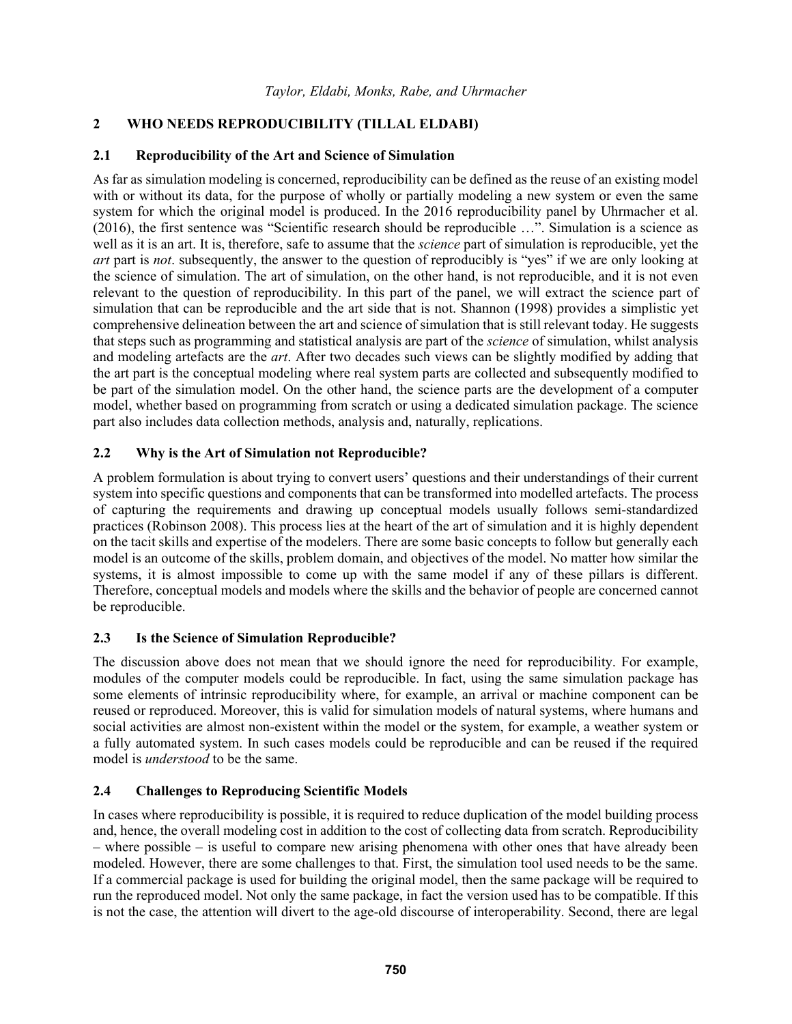## **2 WHO NEEDS REPRODUCIBILITY (TILLAL ELDABI)**

## **2.1 Reproducibility of the Art and Science of Simulation**

As far as simulation modeling is concerned, reproducibility can be defined as the reuse of an existing model with or without its data, for the purpose of wholly or partially modeling a new system or even the same system for which the original model is produced. In the 2016 reproducibility panel by Uhrmacher et al. (2016), the first sentence was "Scientific research should be reproducible …". Simulation is a science as well as it is an art. It is, therefore, safe to assume that the *science* part of simulation is reproducible, yet the *art* part is *not*. subsequently, the answer to the question of reproducibly is "yes" if we are only looking at the science of simulation. The art of simulation, on the other hand, is not reproducible, and it is not even relevant to the question of reproducibility. In this part of the panel, we will extract the science part of simulation that can be reproducible and the art side that is not. Shannon (1998) provides a simplistic yet comprehensive delineation between the art and science of simulation that is still relevant today. He suggests that steps such as programming and statistical analysis are part of the *science* of simulation, whilst analysis and modeling artefacts are the *art*. After two decades such views can be slightly modified by adding that the art part is the conceptual modeling where real system parts are collected and subsequently modified to be part of the simulation model. On the other hand, the science parts are the development of a computer model, whether based on programming from scratch or using a dedicated simulation package. The science part also includes data collection methods, analysis and, naturally, replications.

## **2.2 Why is the Art of Simulation not Reproducible?**

A problem formulation is about trying to convert users' questions and their understandings of their current system into specific questions and components that can be transformed into modelled artefacts. The process of capturing the requirements and drawing up conceptual models usually follows semi-standardized practices (Robinson 2008). This process lies at the heart of the art of simulation and it is highly dependent on the tacit skills and expertise of the modelers. There are some basic concepts to follow but generally each model is an outcome of the skills, problem domain, and objectives of the model. No matter how similar the systems, it is almost impossible to come up with the same model if any of these pillars is different. Therefore, conceptual models and models where the skills and the behavior of people are concerned cannot be reproducible.

### **2.3 Is the Science of Simulation Reproducible?**

The discussion above does not mean that we should ignore the need for reproducibility. For example, modules of the computer models could be reproducible. In fact, using the same simulation package has some elements of intrinsic reproducibility where, for example, an arrival or machine component can be reused or reproduced. Moreover, this is valid for simulation models of natural systems, where humans and social activities are almost non-existent within the model or the system, for example, a weather system or a fully automated system. In such cases models could be reproducible and can be reused if the required model is *understood* to be the same.

# **2.4 Challenges to Reproducing Scientific Models**

In cases where reproducibility is possible, it is required to reduce duplication of the model building process and, hence, the overall modeling cost in addition to the cost of collecting data from scratch. Reproducibility – where possible – is useful to compare new arising phenomena with other ones that have already been modeled. However, there are some challenges to that. First, the simulation tool used needs to be the same. If a commercial package is used for building the original model, then the same package will be required to run the reproduced model. Not only the same package, in fact the version used has to be compatible. If this is not the case, the attention will divert to the age-old discourse of interoperability. Second, there are legal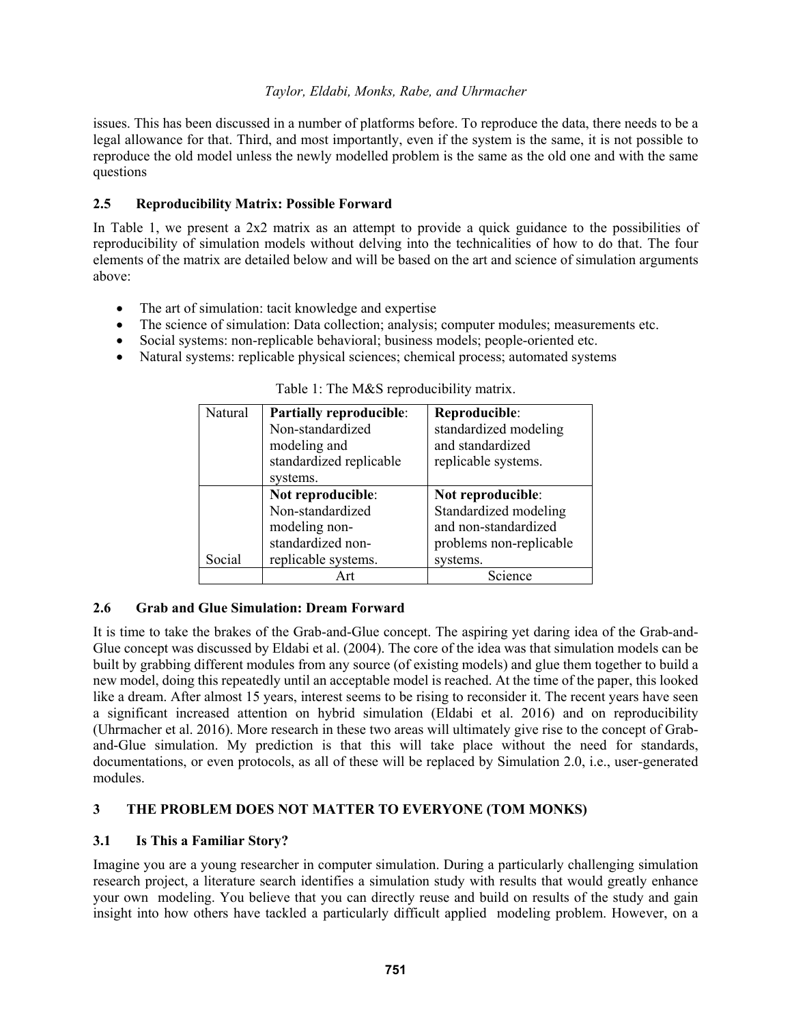issues. This has been discussed in a number of platforms before. To reproduce the data, there needs to be a legal allowance for that. Third, and most importantly, even if the system is the same, it is not possible to reproduce the old model unless the newly modelled problem is the same as the old one and with the same questions

## **2.5 Reproducibility Matrix: Possible Forward**

In Table 1, we present a 2x2 matrix as an attempt to provide a quick guidance to the possibilities of reproducibility of simulation models without delving into the technicalities of how to do that. The four elements of the matrix are detailed below and will be based on the art and science of simulation arguments above:

- The art of simulation: tacit knowledge and expertise
- The science of simulation: Data collection; analysis; computer modules; measurements etc.
- Social systems: non-replicable behavioral; business models; people-oriented etc.
- Natural systems: replicable physical sciences; chemical process; automated systems

| Natural | <b>Partially reproducible:</b> | Reproducible:           |
|---------|--------------------------------|-------------------------|
|         | Non-standardized               | standardized modeling   |
|         | modeling and                   | and standardized        |
|         | standardized replicable        | replicable systems.     |
|         | systems.                       |                         |
|         | Not reproducible:              | Not reproducible:       |
|         | Non-standardized               | Standardized modeling   |
|         | modeling non-                  | and non-standardized    |
|         | standardized non-              | problems non-replicable |
| Social  | replicable systems.            | systems.                |
|         |                                | Science                 |

Table 1: The M&S reproducibility matrix.

# **2.6 Grab and Glue Simulation: Dream Forward**

It is time to take the brakes of the Grab-and-Glue concept. The aspiring yet daring idea of the Grab-and-Glue concept was discussed by Eldabi et al. (2004). The core of the idea was that simulation models can be built by grabbing different modules from any source (of existing models) and glue them together to build a new model, doing this repeatedly until an acceptable model is reached. At the time of the paper, this looked like a dream. After almost 15 years, interest seems to be rising to reconsider it. The recent years have seen a significant increased attention on hybrid simulation (Eldabi et al. 2016) and on reproducibility (Uhrmacher et al. 2016). More research in these two areas will ultimately give rise to the concept of Graband-Glue simulation. My prediction is that this will take place without the need for standards, documentations, or even protocols, as all of these will be replaced by Simulation 2.0, i.e., user-generated modules.

# **3 THE PROBLEM DOES NOT MATTER TO EVERYONE (TOM MONKS)**

### **3.1 Is This a Familiar Story?**

Imagine you are a young researcher in computer simulation. During a particularly challenging simulation research project, a literature search identifies a simulation study with results that would greatly enhance your own modeling. You believe that you can directly reuse and build on results of the study and gain insight into how others have tackled a particularly difficult applied modeling problem. However, on a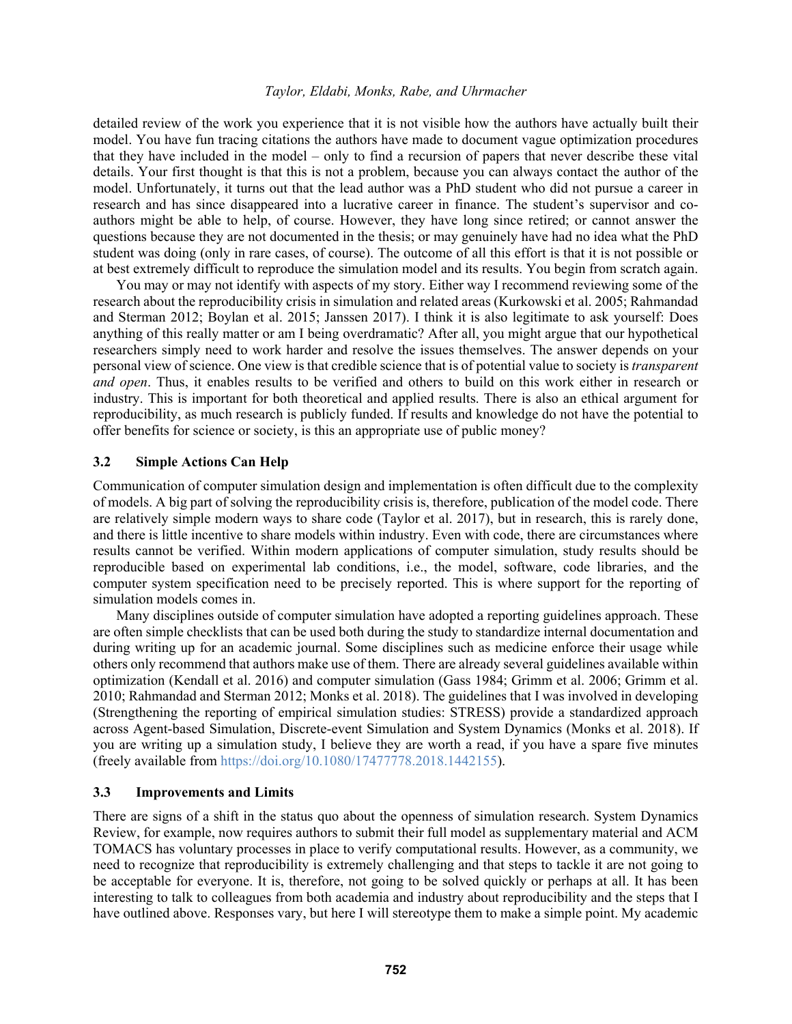detailed review of the work you experience that it is not visible how the authors have actually built their model. You have fun tracing citations the authors have made to document vague optimization procedures that they have included in the model – only to find a recursion of papers that never describe these vital details. Your first thought is that this is not a problem, because you can always contact the author of the model. Unfortunately, it turns out that the lead author was a PhD student who did not pursue a career in research and has since disappeared into a lucrative career in finance. The student's supervisor and coauthors might be able to help, of course. However, they have long since retired; or cannot answer the questions because they are not documented in the thesis; or may genuinely have had no idea what the PhD student was doing (only in rare cases, of course). The outcome of all this effort is that it is not possible or at best extremely difficult to reproduce the simulation model and its results. You begin from scratch again.

You may or may not identify with aspects of my story. Either way I recommend reviewing some of the research about the reproducibility crisis in simulation and related areas (Kurkowski et al. 2005; Rahmandad and Sterman 2012; Boylan et al. 2015; Janssen 2017). I think it is also legitimate to ask yourself: Does anything of this really matter or am I being overdramatic? After all, you might argue that our hypothetical researchers simply need to work harder and resolve the issues themselves. The answer depends on your personal view of science. One view is that credible science that is of potential value to society is *transparent and open*. Thus, it enables results to be verified and others to build on this work either in research or industry. This is important for both theoretical and applied results. There is also an ethical argument for reproducibility, as much research is publicly funded. If results and knowledge do not have the potential to offer benefits for science or society, is this an appropriate use of public money?

#### **3.2 Simple Actions Can Help**

Communication of computer simulation design and implementation is often difficult due to the complexity of models. A big part of solving the reproducibility crisis is, therefore, publication of the model code. There are relatively simple modern ways to share code (Taylor et al. 2017), but in research, this is rarely done, and there is little incentive to share models within industry. Even with code, there are circumstances where results cannot be verified. Within modern applications of computer simulation, study results should be reproducible based on experimental lab conditions, i.e., the model, software, code libraries, and the computer system specification need to be precisely reported. This is where support for the reporting of simulation models comes in.

Many disciplines outside of computer simulation have adopted a reporting guidelines approach. These are often simple checklists that can be used both during the study to standardize internal documentation and during writing up for an academic journal. Some disciplines such as medicine enforce their usage while others only recommend that authors make use of them. There are already several guidelines available within optimization (Kendall et al. 2016) and computer simulation (Gass 1984; Grimm et al. 2006; Grimm et al. 2010; Rahmandad and Sterman 2012; Monks et al. 2018). The guidelines that I was involved in developing (Strengthening the reporting of empirical simulation studies: STRESS) provide a standardized approach across Agent-based Simulation, Discrete-event Simulation and System Dynamics (Monks et al. 2018). If you are writing up a simulation study, I believe they are worth a read, if you have a spare five minutes (freely available from https://doi.org/10.1080/17477778.2018.1442155).

#### **3.3 Improvements and Limits**

There are signs of a shift in the status quo about the openness of simulation research. System Dynamics Review, for example, now requires authors to submit their full model as supplementary material and ACM TOMACS has voluntary processes in place to verify computational results. However, as a community, we need to recognize that reproducibility is extremely challenging and that steps to tackle it are not going to be acceptable for everyone. It is, therefore, not going to be solved quickly or perhaps at all. It has been interesting to talk to colleagues from both academia and industry about reproducibility and the steps that I have outlined above. Responses vary, but here I will stereotype them to make a simple point. My academic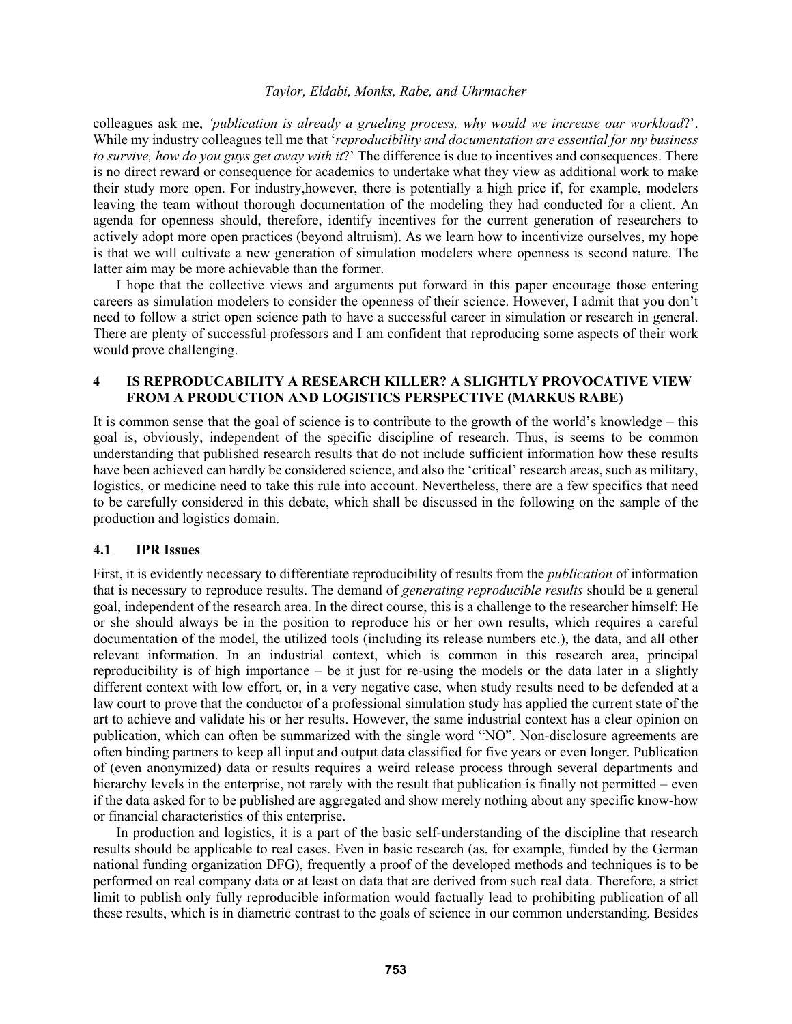colleagues ask me, *'publication is already a grueling process, why would we increase our workload*?'. While my industry colleagues tell me that '*reproducibility and documentation are essential for my business to survive, how do you guys get away with it*?' The difference is due to incentives and consequences. There is no direct reward or consequence for academics to undertake what they view as additional work to make their study more open. For industry,however, there is potentially a high price if, for example, modelers leaving the team without thorough documentation of the modeling they had conducted for a client. An agenda for openness should, therefore, identify incentives for the current generation of researchers to actively adopt more open practices (beyond altruism). As we learn how to incentivize ourselves, my hope is that we will cultivate a new generation of simulation modelers where openness is second nature. The latter aim may be more achievable than the former.

 I hope that the collective views and arguments put forward in this paper encourage those entering careers as simulation modelers to consider the openness of their science. However, I admit that you don't need to follow a strict open science path to have a successful career in simulation or research in general. There are plenty of successful professors and I am confident that reproducing some aspects of their work would prove challenging.

## **4 IS REPRODUCABILITY A RESEARCH KILLER? A SLIGHTLY PROVOCATIVE VIEW FROM A PRODUCTION AND LOGISTICS PERSPECTIVE (MARKUS RABE)**

It is common sense that the goal of science is to contribute to the growth of the world's knowledge – this goal is, obviously, independent of the specific discipline of research. Thus, is seems to be common understanding that published research results that do not include sufficient information how these results have been achieved can hardly be considered science, and also the 'critical' research areas, such as military, logistics, or medicine need to take this rule into account. Nevertheless, there are a few specifics that need to be carefully considered in this debate, which shall be discussed in the following on the sample of the production and logistics domain.

#### **4.1 IPR Issues**

First, it is evidently necessary to differentiate reproducibility of results from the *publication* of information that is necessary to reproduce results. The demand of *generating reproducible results* should be a general goal, independent of the research area. In the direct course, this is a challenge to the researcher himself: He or she should always be in the position to reproduce his or her own results, which requires a careful documentation of the model, the utilized tools (including its release numbers etc.), the data, and all other relevant information. In an industrial context, which is common in this research area, principal reproducibility is of high importance – be it just for re-using the models or the data later in a slightly different context with low effort, or, in a very negative case, when study results need to be defended at a law court to prove that the conductor of a professional simulation study has applied the current state of the art to achieve and validate his or her results. However, the same industrial context has a clear opinion on publication, which can often be summarized with the single word "NO". Non-disclosure agreements are often binding partners to keep all input and output data classified for five years or even longer. Publication of (even anonymized) data or results requires a weird release process through several departments and hierarchy levels in the enterprise, not rarely with the result that publication is finally not permitted – even if the data asked for to be published are aggregated and show merely nothing about any specific know-how or financial characteristics of this enterprise.

 In production and logistics, it is a part of the basic self-understanding of the discipline that research results should be applicable to real cases. Even in basic research (as, for example, funded by the German national funding organization DFG), frequently a proof of the developed methods and techniques is to be performed on real company data or at least on data that are derived from such real data. Therefore, a strict limit to publish only fully reproducible information would factually lead to prohibiting publication of all these results, which is in diametric contrast to the goals of science in our common understanding. Besides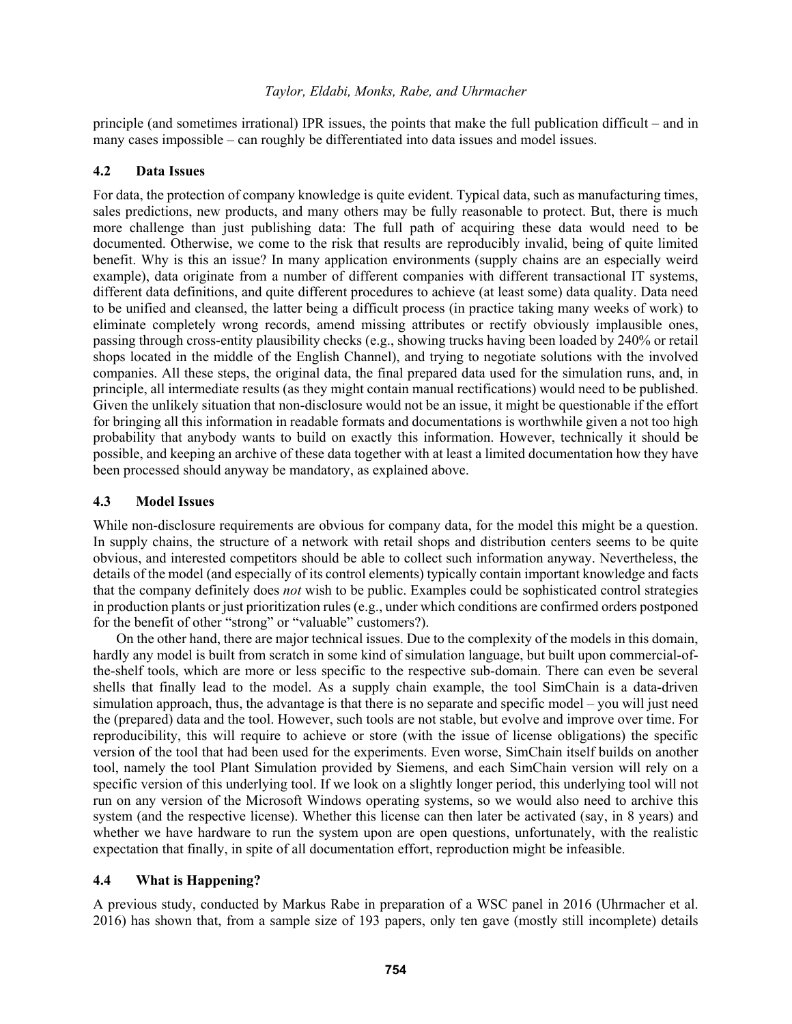principle (and sometimes irrational) IPR issues, the points that make the full publication difficult – and in many cases impossible – can roughly be differentiated into data issues and model issues.

### **4.2 Data Issues**

For data, the protection of company knowledge is quite evident. Typical data, such as manufacturing times, sales predictions, new products, and many others may be fully reasonable to protect. But, there is much more challenge than just publishing data: The full path of acquiring these data would need to be documented. Otherwise, we come to the risk that results are reproducibly invalid, being of quite limited benefit. Why is this an issue? In many application environments (supply chains are an especially weird example), data originate from a number of different companies with different transactional IT systems, different data definitions, and quite different procedures to achieve (at least some) data quality. Data need to be unified and cleansed, the latter being a difficult process (in practice taking many weeks of work) to eliminate completely wrong records, amend missing attributes or rectify obviously implausible ones, passing through cross-entity plausibility checks (e.g., showing trucks having been loaded by 240% or retail shops located in the middle of the English Channel), and trying to negotiate solutions with the involved companies. All these steps, the original data, the final prepared data used for the simulation runs, and, in principle, all intermediate results (as they might contain manual rectifications) would need to be published. Given the unlikely situation that non-disclosure would not be an issue, it might be questionable if the effort for bringing all this information in readable formats and documentations is worthwhile given a not too high probability that anybody wants to build on exactly this information. However, technically it should be possible, and keeping an archive of these data together with at least a limited documentation how they have been processed should anyway be mandatory, as explained above.

### **4.3 Model Issues**

While non-disclosure requirements are obvious for company data, for the model this might be a question. In supply chains, the structure of a network with retail shops and distribution centers seems to be quite obvious, and interested competitors should be able to collect such information anyway. Nevertheless, the details of the model (and especially of its control elements) typically contain important knowledge and facts that the company definitely does *not* wish to be public. Examples could be sophisticated control strategies in production plants or just prioritization rules (e.g., under which conditions are confirmed orders postponed for the benefit of other "strong" or "valuable" customers?).

 On the other hand, there are major technical issues. Due to the complexity of the models in this domain, hardly any model is built from scratch in some kind of simulation language, but built upon commercial-ofthe-shelf tools, which are more or less specific to the respective sub-domain. There can even be several shells that finally lead to the model. As a supply chain example, the tool SimChain is a data-driven simulation approach, thus, the advantage is that there is no separate and specific model – you will just need the (prepared) data and the tool. However, such tools are not stable, but evolve and improve over time. For reproducibility, this will require to achieve or store (with the issue of license obligations) the specific version of the tool that had been used for the experiments. Even worse, SimChain itself builds on another tool, namely the tool Plant Simulation provided by Siemens, and each SimChain version will rely on a specific version of this underlying tool. If we look on a slightly longer period, this underlying tool will not run on any version of the Microsoft Windows operating systems, so we would also need to archive this system (and the respective license). Whether this license can then later be activated (say, in 8 years) and whether we have hardware to run the system upon are open questions, unfortunately, with the realistic expectation that finally, in spite of all documentation effort, reproduction might be infeasible.

### **4.4 What is Happening?**

A previous study, conducted by Markus Rabe in preparation of a WSC panel in 2016 (Uhrmacher et al. 2016) has shown that, from a sample size of 193 papers, only ten gave (mostly still incomplete) details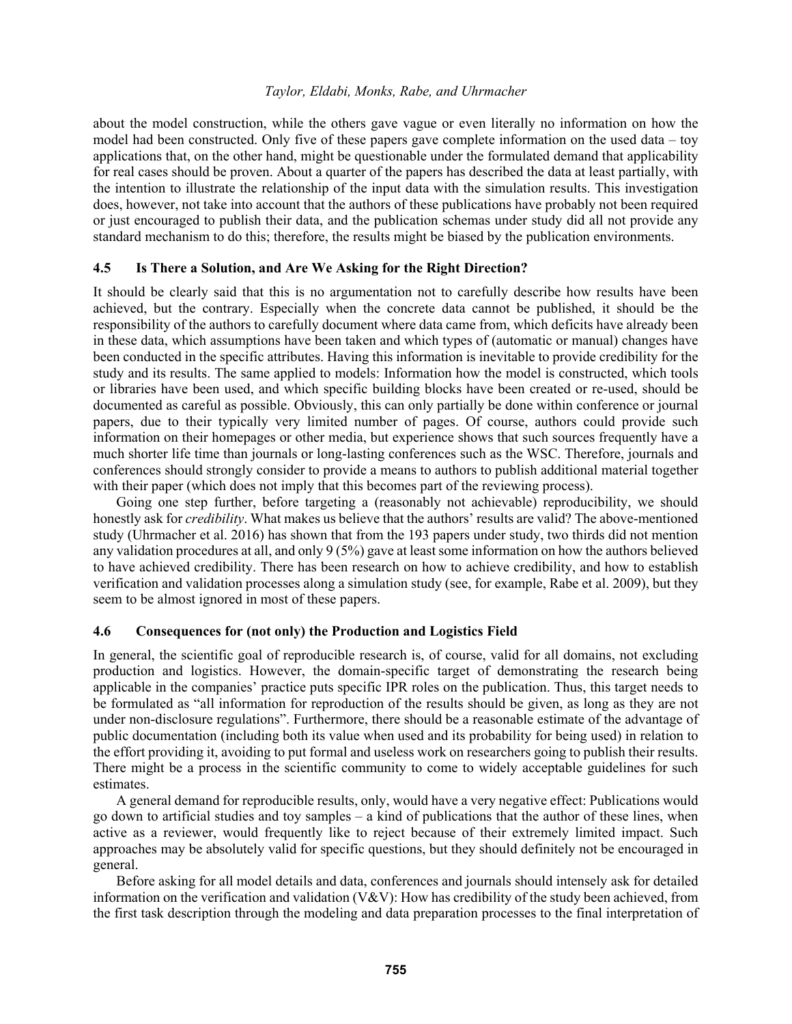about the model construction, while the others gave vague or even literally no information on how the model had been constructed. Only five of these papers gave complete information on the used data – toy applications that, on the other hand, might be questionable under the formulated demand that applicability for real cases should be proven. About a quarter of the papers has described the data at least partially, with the intention to illustrate the relationship of the input data with the simulation results. This investigation does, however, not take into account that the authors of these publications have probably not been required or just encouraged to publish their data, and the publication schemas under study did all not provide any standard mechanism to do this; therefore, the results might be biased by the publication environments.

#### **4.5 Is There a Solution, and Are We Asking for the Right Direction?**

It should be clearly said that this is no argumentation not to carefully describe how results have been achieved, but the contrary. Especially when the concrete data cannot be published, it should be the responsibility of the authors to carefully document where data came from, which deficits have already been in these data, which assumptions have been taken and which types of (automatic or manual) changes have been conducted in the specific attributes. Having this information is inevitable to provide credibility for the study and its results. The same applied to models: Information how the model is constructed, which tools or libraries have been used, and which specific building blocks have been created or re-used, should be documented as careful as possible. Obviously, this can only partially be done within conference or journal papers, due to their typically very limited number of pages. Of course, authors could provide such information on their homepages or other media, but experience shows that such sources frequently have a much shorter life time than journals or long-lasting conferences such as the WSC. Therefore, journals and conferences should strongly consider to provide a means to authors to publish additional material together with their paper (which does not imply that this becomes part of the reviewing process).

Going one step further, before targeting a (reasonably not achievable) reproducibility, we should honestly ask for *credibility*. What makes us believe that the authors' results are valid? The above-mentioned study (Uhrmacher et al. 2016) has shown that from the 193 papers under study, two thirds did not mention any validation procedures at all, and only 9 (5%) gave at least some information on how the authors believed to have achieved credibility. There has been research on how to achieve credibility, and how to establish verification and validation processes along a simulation study (see, for example, Rabe et al. 2009), but they seem to be almost ignored in most of these papers.

#### **4.6 Consequences for (not only) the Production and Logistics Field**

In general, the scientific goal of reproducible research is, of course, valid for all domains, not excluding production and logistics. However, the domain-specific target of demonstrating the research being applicable in the companies' practice puts specific IPR roles on the publication. Thus, this target needs to be formulated as "all information for reproduction of the results should be given, as long as they are not under non-disclosure regulations". Furthermore, there should be a reasonable estimate of the advantage of public documentation (including both its value when used and its probability for being used) in relation to the effort providing it, avoiding to put formal and useless work on researchers going to publish their results. There might be a process in the scientific community to come to widely acceptable guidelines for such estimates.

 A general demand for reproducible results, only, would have a very negative effect: Publications would go down to artificial studies and toy samples – a kind of publications that the author of these lines, when active as a reviewer, would frequently like to reject because of their extremely limited impact. Such approaches may be absolutely valid for specific questions, but they should definitely not be encouraged in general.

 Before asking for all model details and data, conferences and journals should intensely ask for detailed information on the verification and validation (V&V): How has credibility of the study been achieved, from the first task description through the modeling and data preparation processes to the final interpretation of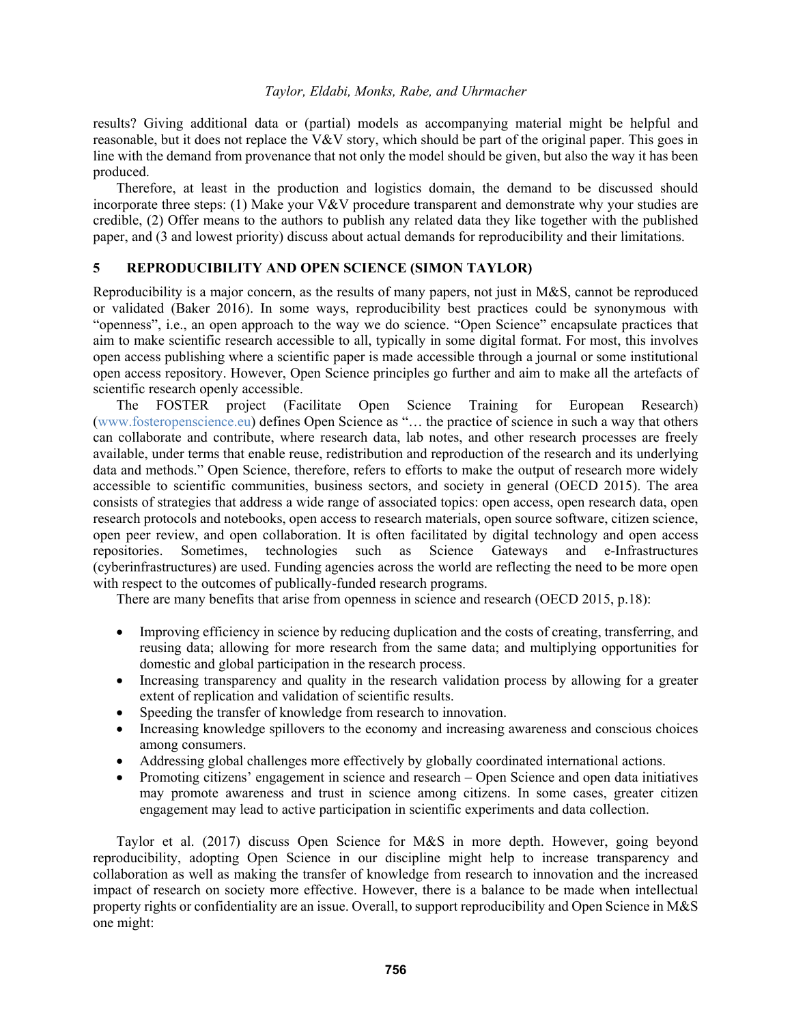results? Giving additional data or (partial) models as accompanying material might be helpful and reasonable, but it does not replace the V&V story, which should be part of the original paper. This goes in line with the demand from provenance that not only the model should be given, but also the way it has been produced.

 Therefore, at least in the production and logistics domain, the demand to be discussed should incorporate three steps: (1) Make your V&V procedure transparent and demonstrate why your studies are credible, (2) Offer means to the authors to publish any related data they like together with the published paper, and (3 and lowest priority) discuss about actual demands for reproducibility and their limitations.

### **5 REPRODUCIBILITY AND OPEN SCIENCE (SIMON TAYLOR)**

Reproducibility is a major concern, as the results of many papers, not just in M&S, cannot be reproduced or validated (Baker 2016). In some ways, reproducibility best practices could be synonymous with "openness", i.e., an open approach to the way we do science. "Open Science" encapsulate practices that aim to make scientific research accessible to all, typically in some digital format. For most, this involves open access publishing where a scientific paper is made accessible through a journal or some institutional open access repository. However, Open Science principles go further and aim to make all the artefacts of scientific research openly accessible.

 The FOSTER project (Facilitate Open Science Training for European Research) (www.fosteropenscience.eu) defines Open Science as "… the practice of science in such a way that others can collaborate and contribute, where research data, lab notes, and other research processes are freely available, under terms that enable reuse, redistribution and reproduction of the research and its underlying data and methods." Open Science, therefore, refers to efforts to make the output of research more widely accessible to scientific communities, business sectors, and society in general (OECD 2015). The area consists of strategies that address a wide range of associated topics: open access, open research data, open research protocols and notebooks, open access to research materials, open source software, citizen science, open peer review, and open collaboration. It is often facilitated by digital technology and open access repositories. Sometimes, technologies such as Science Gateways and e-Infrastructures (cyberinfrastructures) are used. Funding agencies across the world are reflecting the need to be more open with respect to the outcomes of publically-funded research programs.

There are many benefits that arise from openness in science and research (OECD 2015, p.18):

- Improving efficiency in science by reducing duplication and the costs of creating, transferring, and reusing data; allowing for more research from the same data; and multiplying opportunities for domestic and global participation in the research process.
- Increasing transparency and quality in the research validation process by allowing for a greater extent of replication and validation of scientific results.
- Speeding the transfer of knowledge from research to innovation.
- Increasing knowledge spillovers to the economy and increasing awareness and conscious choices among consumers.
- Addressing global challenges more effectively by globally coordinated international actions.
- Promoting citizens' engagement in science and research Open Science and open data initiatives may promote awareness and trust in science among citizens. In some cases, greater citizen engagement may lead to active participation in scientific experiments and data collection.

 Taylor et al. (2017) discuss Open Science for M&S in more depth. However, going beyond reproducibility, adopting Open Science in our discipline might help to increase transparency and collaboration as well as making the transfer of knowledge from research to innovation and the increased impact of research on society more effective. However, there is a balance to be made when intellectual property rights or confidentiality are an issue. Overall, to support reproducibility and Open Science in M&S one might: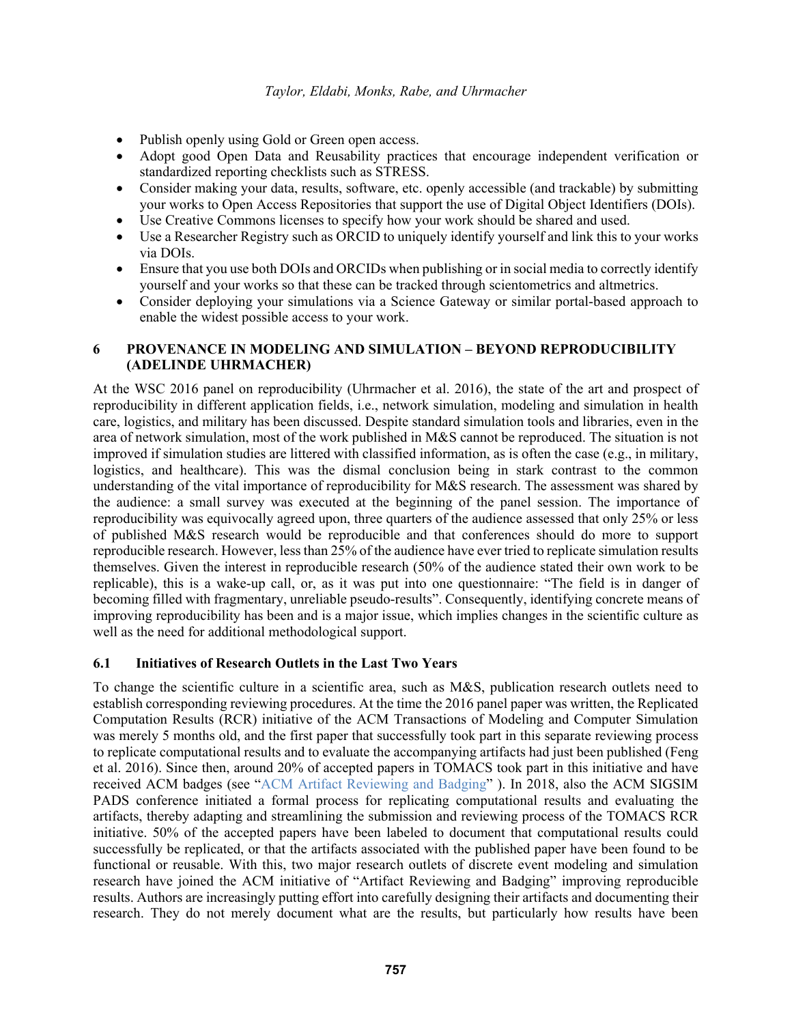- Publish openly using Gold or Green open access.
- Adopt good Open Data and Reusability practices that encourage independent verification or standardized reporting checklists such as STRESS.
- Consider making your data, results, software, etc. openly accessible (and trackable) by submitting your works to Open Access Repositories that support the use of Digital Object Identifiers (DOIs).
- Use Creative Commons licenses to specify how your work should be shared and used.
- Use a Researcher Registry such as ORCID to uniquely identify yourself and link this to your works via DOIs.
- Ensure that you use both DOIs and ORCIDs when publishing or in social media to correctly identify yourself and your works so that these can be tracked through scientometrics and altmetrics.
- Consider deploying your simulations via a Science Gateway or similar portal-based approach to enable the widest possible access to your work.

## **6 PROVENANCE IN MODELING AND SIMULATION – BEYOND REPRODUCIBILITY (ADELINDE UHRMACHER)**

At the WSC 2016 panel on reproducibility (Uhrmacher et al. 2016), the state of the art and prospect of reproducibility in different application fields, i.e., network simulation, modeling and simulation in health care, logistics, and military has been discussed. Despite standard simulation tools and libraries, even in the area of network simulation, most of the work published in M&S cannot be reproduced. The situation is not improved if simulation studies are littered with classified information, as is often the case (e.g., in military, logistics, and healthcare). This was the dismal conclusion being in stark contrast to the common understanding of the vital importance of reproducibility for M&S research. The assessment was shared by the audience: a small survey was executed at the beginning of the panel session. The importance of reproducibility was equivocally agreed upon, three quarters of the audience assessed that only 25% or less of published M&S research would be reproducible and that conferences should do more to support reproducible research. However, less than 25% of the audience have ever tried to replicate simulation results themselves. Given the interest in reproducible research (50% of the audience stated their own work to be replicable), this is a wake-up call, or, as it was put into one questionnaire: "The field is in danger of becoming filled with fragmentary, unreliable pseudo-results". Consequently, identifying concrete means of improving reproducibility has been and is a major issue, which implies changes in the scientific culture as well as the need for additional methodological support.

### **6.1 Initiatives of Research Outlets in the Last Two Years**

To change the scientific culture in a scientific area, such as M&S, publication research outlets need to establish corresponding reviewing procedures. At the time the 2016 panel paper was written, the Replicated Computation Results (RCR) initiative of the ACM Transactions of Modeling and Computer Simulation was merely 5 months old, and the first paper that successfully took part in this separate reviewing process to replicate computational results and to evaluate the accompanying artifacts had just been published (Feng et al. 2016). Since then, around 20% of accepted papers in TOMACS took part in this initiative and have received ACM badges (see "ACM Artifact Reviewing and Badging" ). In 2018, also the ACM SIGSIM PADS conference initiated a formal process for replicating computational results and evaluating the artifacts, thereby adapting and streamlining the submission and reviewing process of the TOMACS RCR initiative. 50% of the accepted papers have been labeled to document that computational results could successfully be replicated, or that the artifacts associated with the published paper have been found to be functional or reusable. With this, two major research outlets of discrete event modeling and simulation research have joined the ACM initiative of "Artifact Reviewing and Badging" improving reproducible results. Authors are increasingly putting effort into carefully designing their artifacts and documenting their research. They do not merely document what are the results, but particularly how results have been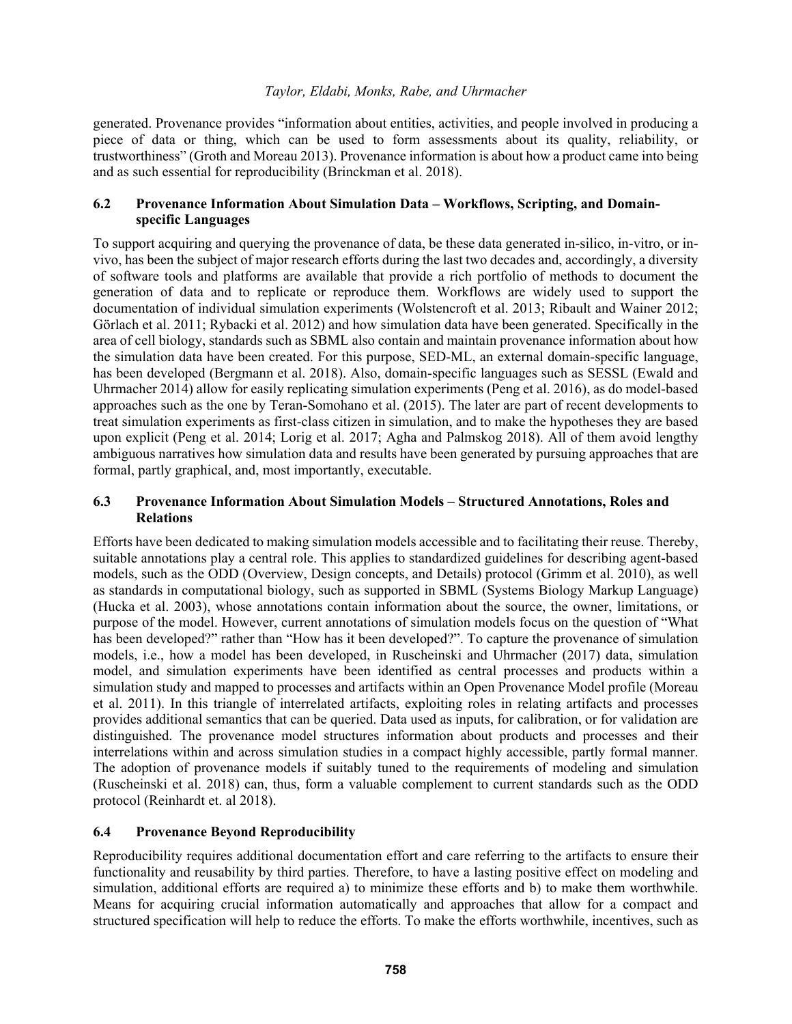generated. Provenance provides "information about entities, activities, and people involved in producing a piece of data or thing, which can be used to form assessments about its quality, reliability, or trustworthiness" (Groth and Moreau 2013). Provenance information is about how a product came into being and as such essential for reproducibility (Brinckman et al. 2018).

## **6.2 Provenance Information About Simulation Data – Workflows, Scripting, and Domainspecific Languages**

To support acquiring and querying the provenance of data, be these data generated in-silico, in-vitro, or invivo, has been the subject of major research efforts during the last two decades and, accordingly, a diversity of software tools and platforms are available that provide a rich portfolio of methods to document the generation of data and to replicate or reproduce them. Workflows are widely used to support the documentation of individual simulation experiments (Wolstencroft et al. 2013; Ribault and Wainer 2012; Görlach et al. 2011; Rybacki et al. 2012) and how simulation data have been generated. Specifically in the area of cell biology, standards such as SBML also contain and maintain provenance information about how the simulation data have been created. For this purpose, SED-ML, an external domain-specific language, has been developed (Bergmann et al. 2018). Also, domain-specific languages such as SESSL (Ewald and Uhrmacher 2014) allow for easily replicating simulation experiments (Peng et al. 2016), as do model-based approaches such as the one by Teran-Somohano et al. (2015). The later are part of recent developments to treat simulation experiments as first-class citizen in simulation, and to make the hypotheses they are based upon explicit (Peng et al. 2014; Lorig et al. 2017; Agha and Palmskog 2018). All of them avoid lengthy ambiguous narratives how simulation data and results have been generated by pursuing approaches that are formal, partly graphical, and, most importantly, executable.

### **6.3 Provenance Information About Simulation Models – Structured Annotations, Roles and Relations**

Efforts have been dedicated to making simulation models accessible and to facilitating their reuse. Thereby, suitable annotations play a central role. This applies to standardized guidelines for describing agent-based models, such as the ODD (Overview, Design concepts, and Details) protocol (Grimm et al. 2010), as well as standards in computational biology, such as supported in SBML (Systems Biology Markup Language) (Hucka et al. 2003), whose annotations contain information about the source, the owner, limitations, or purpose of the model. However, current annotations of simulation models focus on the question of "What has been developed?" rather than "How has it been developed?". To capture the provenance of simulation models, i.e., how a model has been developed, in Ruscheinski and Uhrmacher (2017) data, simulation model, and simulation experiments have been identified as central processes and products within a simulation study and mapped to processes and artifacts within an Open Provenance Model profile (Moreau et al. 2011). In this triangle of interrelated artifacts, exploiting roles in relating artifacts and processes provides additional semantics that can be queried. Data used as inputs, for calibration, or for validation are distinguished. The provenance model structures information about products and processes and their interrelations within and across simulation studies in a compact highly accessible, partly formal manner. The adoption of provenance models if suitably tuned to the requirements of modeling and simulation (Ruscheinski et al. 2018) can, thus, form a valuable complement to current standards such as the ODD protocol (Reinhardt et. al 2018).

### **6.4 Provenance Beyond Reproducibility**

Reproducibility requires additional documentation effort and care referring to the artifacts to ensure their functionality and reusability by third parties. Therefore, to have a lasting positive effect on modeling and simulation, additional efforts are required a) to minimize these efforts and b) to make them worthwhile. Means for acquiring crucial information automatically and approaches that allow for a compact and structured specification will help to reduce the efforts. To make the efforts worthwhile, incentives, such as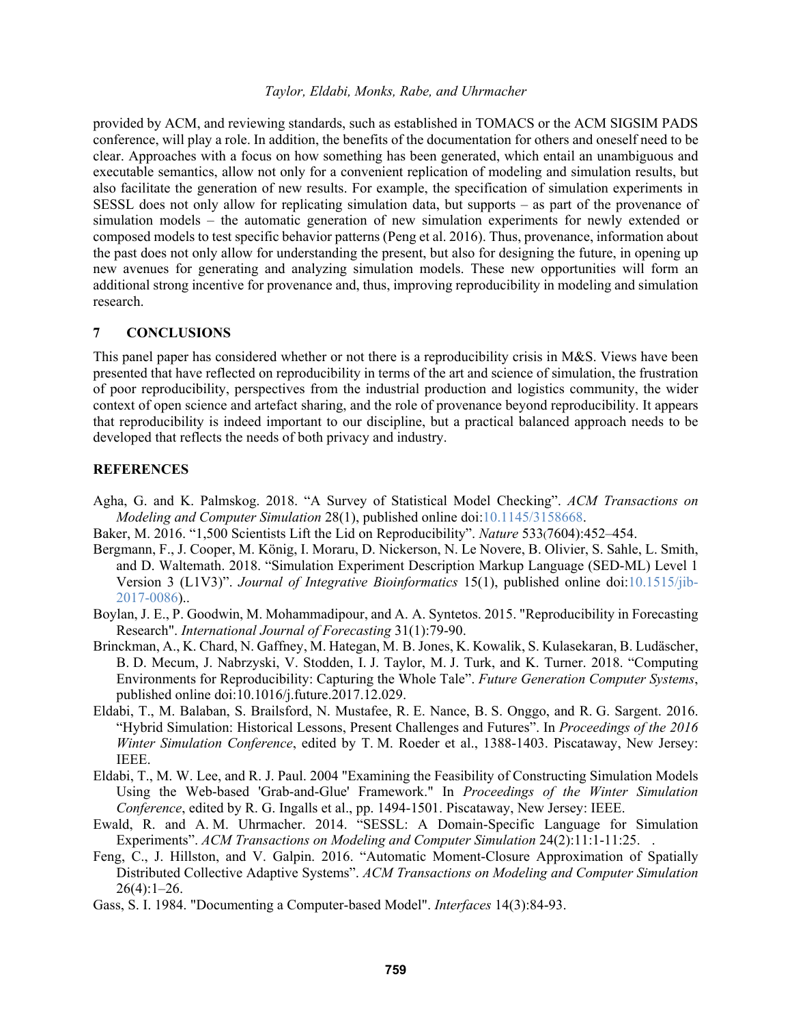provided by ACM, and reviewing standards, such as established in TOMACS or the ACM SIGSIM PADS conference, will play a role. In addition, the benefits of the documentation for others and oneself need to be clear. Approaches with a focus on how something has been generated, which entail an unambiguous and executable semantics, allow not only for a convenient replication of modeling and simulation results, but also facilitate the generation of new results. For example, the specification of simulation experiments in SESSL does not only allow for replicating simulation data, but supports – as part of the provenance of simulation models – the automatic generation of new simulation experiments for newly extended or composed models to test specific behavior patterns (Peng et al. 2016). Thus, provenance, information about the past does not only allow for understanding the present, but also for designing the future, in opening up new avenues for generating and analyzing simulation models. These new opportunities will form an additional strong incentive for provenance and, thus, improving reproducibility in modeling and simulation research.

#### **7 CONCLUSIONS**

This panel paper has considered whether or not there is a reproducibility crisis in M&S. Views have been presented that have reflected on reproducibility in terms of the art and science of simulation, the frustration of poor reproducibility, perspectives from the industrial production and logistics community, the wider context of open science and artefact sharing, and the role of provenance beyond reproducibility. It appears that reproducibility is indeed important to our discipline, but a practical balanced approach needs to be developed that reflects the needs of both privacy and industry.

#### **REFERENCES**

- Agha, G. and K. Palmskog. 2018. "A Survey of Statistical Model Checking". *ACM Transactions on Modeling and Computer Simulation* 28(1), published online doi:10.1145/3158668.
- Baker, M. 2016. "1,500 Scientists Lift the Lid on Reproducibility". *Nature* 533(7604):452–454.
- Bergmann, F., J. Cooper, M. König, I. Moraru, D. Nickerson, N. Le Novere, B. Olivier, S. Sahle, L. Smith, and D. Waltemath. 2018. "Simulation Experiment Description Markup Language (SED-ML) Level 1 Version 3 (L1V3)". *Journal of Integrative Bioinformatics* 15(1), published online doi:10.1515/jib-2017-0086)..
- Boylan, J. E., P. Goodwin, M. Mohammadipour, and A. A. Syntetos. 2015. "Reproducibility in Forecasting Research". *International Journal of Forecasting* 31(1):79-90.
- Brinckman, A., K. Chard, N. Gaffney, M. Hategan, M. B. Jones, K. Kowalik, S. Kulasekaran, B. Ludäscher, B. D. Mecum, J. Nabrzyski, V. Stodden, I. J. Taylor, M. J. Turk, and K. Turner. 2018. "Computing Environments for Reproducibility: Capturing the Whole Tale". *Future Generation Computer Systems*, published online doi:10.1016/j.future.2017.12.029.
- Eldabi, T., M. Balaban, S. Brailsford, N. Mustafee, R. E. Nance, B. S. Onggo, and R. G. Sargent. 2016. "Hybrid Simulation: Historical Lessons, Present Challenges and Futures". In *Proceedings of the 2016 Winter Simulation Conference*, edited by T. M. Roeder et al., 1388-1403. Piscataway, New Jersey: IEEE.
- Eldabi, T., M. W. Lee, and R. J. Paul. 2004 "Examining the Feasibility of Constructing Simulation Models Using the Web-based 'Grab-and-Glue' Framework." In *Proceedings of the Winter Simulation Conference*, edited by R. G. Ingalls et al., pp. 1494-1501. Piscataway, New Jersey: IEEE.
- Ewald, R. and A. M. Uhrmacher. 2014. "SESSL: A Domain-Specific Language for Simulation Experiments". *ACM Transactions on Modeling and Computer Simulation* 24(2):11:1-11:25. .
- Feng, C., J. Hillston, and V. Galpin. 2016. "Automatic Moment-Closure Approximation of Spatially Distributed Collective Adaptive Systems". *ACM Transactions on Modeling and Computer Simulation*  $26(4):1-26.$
- Gass, S. I. 1984. "Documenting a Computer-based Model". *Interfaces* 14(3):84-93.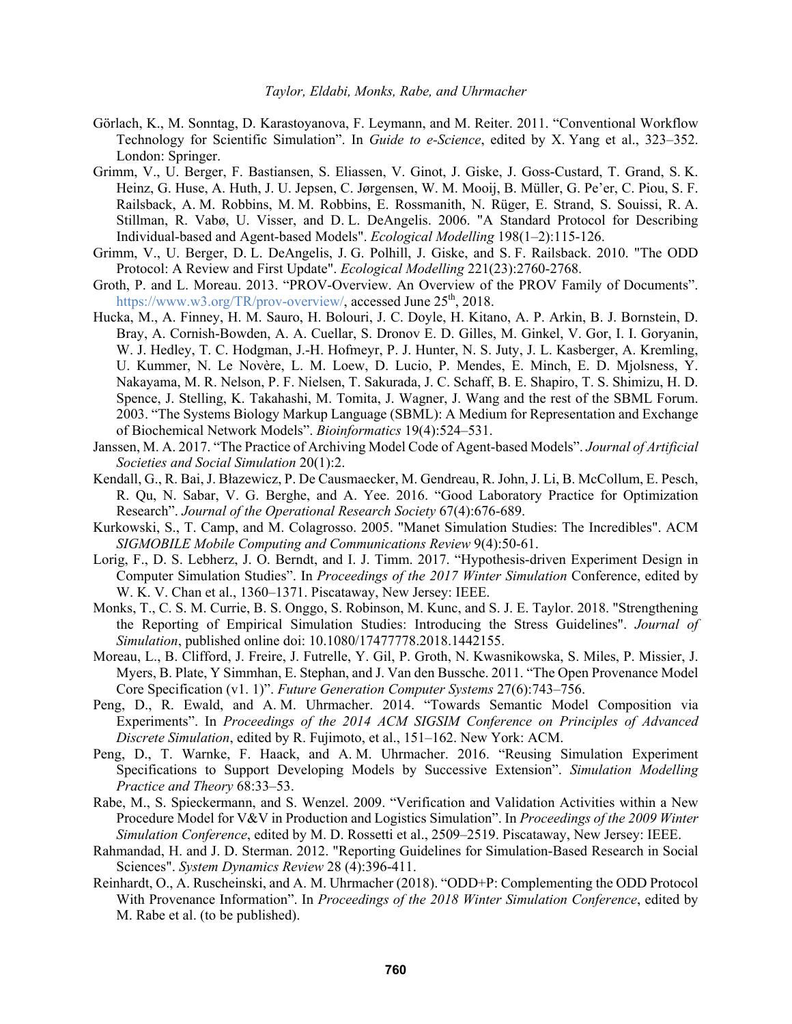- Görlach, K., M. Sonntag, D. Karastoyanova, F. Leymann, and M. Reiter. 2011. "Conventional Workflow Technology for Scientific Simulation". In *Guide to e-Science*, edited by X. Yang et al., 323–352. London: Springer.
- Grimm, V., U. Berger, F. Bastiansen, S. Eliassen, V. Ginot, J. Giske, J. Goss-Custard, T. Grand, S. K. Heinz, G. Huse, A. Huth, J. U. Jepsen, C. Jørgensen, W. M. Mooij, B. Müller, G. Pe'er, C. Piou, S. F. Railsback, A. M. Robbins, M. M. Robbins, E. Rossmanith, N. Rüger, E. Strand, S. Souissi, R. A. Stillman, R. Vabø, U. Visser, and D. L. DeAngelis. 2006. "A Standard Protocol for Describing Individual-based and Agent-based Models". *Ecological Modelling* 198(1–2):115-126.
- Grimm, V., U. Berger, D. L. DeAngelis, J. G. Polhill, J. Giske, and S. F. Railsback. 2010. "The ODD Protocol: A Review and First Update". *Ecological Modelling* 221(23):2760-2768.
- Groth, P. and L. Moreau. 2013. "PROV-Overview. An Overview of the PROV Family of Documents". https://www.w3.org/TR/prov-overview/, accessed June 25<sup>th</sup>, 2018.
- Hucka, M., A. Finney, H. M. Sauro, H. Bolouri, J. C. Doyle, H. Kitano, A. P. Arkin, B. J. Bornstein, D. Bray, A. Cornish-Bowden, A. A. Cuellar, S. Dronov E. D. Gilles, M. Ginkel, V. Gor, I. I. Goryanin, W. J. Hedley, T. C. Hodgman, J.-H. Hofmeyr, P. J. Hunter, N. S. Juty, J. L. Kasberger, A. Kremling, U. Kummer, N. Le Novère, L. M. Loew, D. Lucio, P. Mendes, E. Minch, E. D. Mjolsness, Y. Nakayama, M. R. Nelson, P. F. Nielsen, T. Sakurada, J. C. Schaff, B. E. Shapiro, T. S. Shimizu, H. D. Spence, J. Stelling, K. Takahashi, M. Tomita, J. Wagner, J. Wang and the rest of the SBML Forum. 2003. "The Systems Biology Markup Language (SBML): A Medium for Representation and Exchange of Biochemical Network Models". *Bioinformatics* 19(4):524–531.
- Janssen, M. A. 2017. "The Practice of Archiving Model Code of Agent-based Models". *Journal of Artificial Societies and Social Simulation* 20(1):2.
- Kendall, G., R. Bai, J. Błazewicz, P. De Causmaecker, M. Gendreau, R. John, J. Li, B. McCollum, E. Pesch, R. Qu, N. Sabar, V. G. Berghe, and A. Yee. 2016. "Good Laboratory Practice for Optimization Research". *Journal of the Operational Research Society* 67(4):676-689.
- Kurkowski, S., T. Camp, and M. Colagrosso. 2005. "Manet Simulation Studies: The Incredibles". ACM *SIGMOBILE Mobile Computing and Communications Review* 9(4):50-61.
- Lorig, F., D. S. Lebherz, J. O. Berndt, and I. J. Timm. 2017. "Hypothesis-driven Experiment Design in Computer Simulation Studies". In *Proceedings of the 2017 Winter Simulation* Conference, edited by W. K. V. Chan et al., 1360–1371. Piscataway, New Jersey: IEEE.
- Monks, T., C. S. M. Currie, B. S. Onggo, S. Robinson, M. Kunc, and S. J. E. Taylor. 2018. "Strengthening the Reporting of Empirical Simulation Studies: Introducing the Stress Guidelines". *Journal of Simulation*, published online doi: 10.1080/17477778.2018.1442155.
- Moreau, L., B. Clifford, J. Freire, J. Futrelle, Y. Gil, P. Groth, N. Kwasnikowska, S. Miles, P. Missier, J. Myers, B. Plate, Y Simmhan, E. Stephan, and J. Van den Bussche. 2011. "The Open Provenance Model Core Specification (v1. 1)". *Future Generation Computer Systems* 27(6):743–756.
- Peng, D., R. Ewald, and A. M. Uhrmacher. 2014. "Towards Semantic Model Composition via Experiments". In *Proceedings of the 2014 ACM SIGSIM Conference on Principles of Advanced Discrete Simulation*, edited by R. Fujimoto, et al., 151–162. New York: ACM.
- Peng, D., T. Warnke, F. Haack, and A. M. Uhrmacher. 2016. "Reusing Simulation Experiment Specifications to Support Developing Models by Successive Extension". *Simulation Modelling Practice and Theory* 68:33–53.
- Rabe, M., S. Spieckermann, and S. Wenzel. 2009. "Verification and Validation Activities within a New Procedure Model for V&V in Production and Logistics Simulation". In *Proceedings of the 2009 Winter Simulation Conference*, edited by M. D. Rossetti et al., 2509–2519. Piscataway, New Jersey: IEEE.
- Rahmandad, H. and J. D. Sterman. 2012. "Reporting Guidelines for Simulation-Based Research in Social Sciences". *System Dynamics Review* 28 (4):396-411.
- Reinhardt, O., A. Ruscheinski, and A. M. Uhrmacher (2018). "ODD+P: Complementing the ODD Protocol With Provenance Information". In *Proceedings of the 2018 Winter Simulation Conference*, edited by M. Rabe et al. (to be published).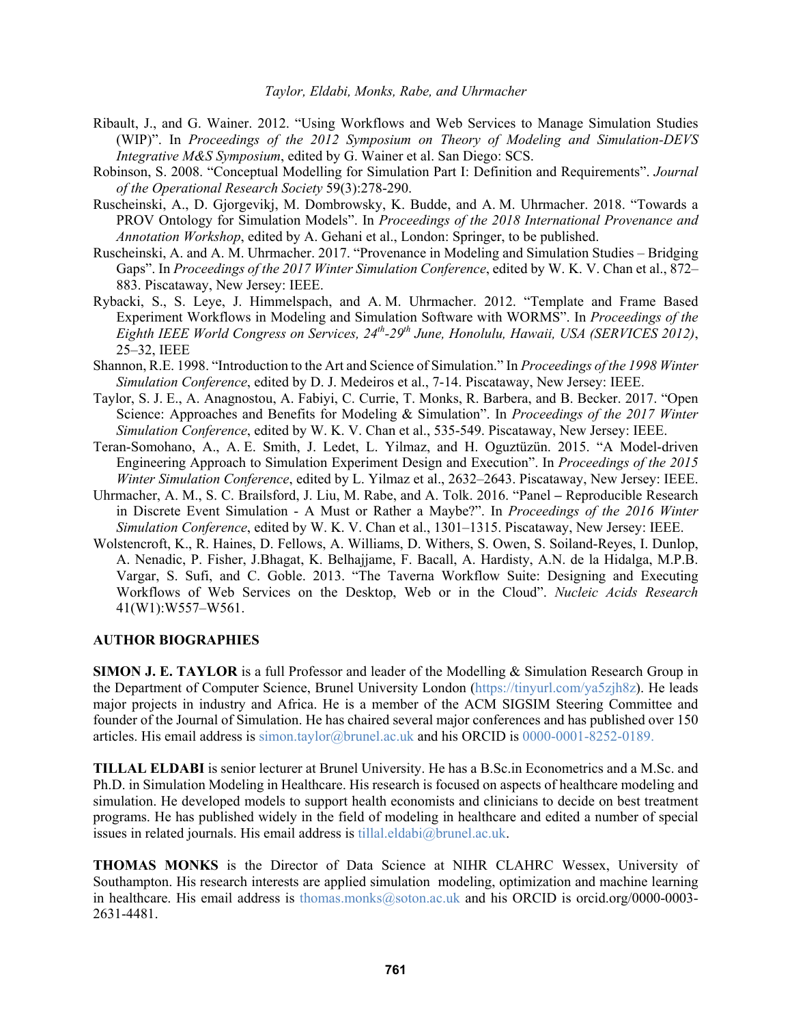- Ribault, J., and G. Wainer. 2012. "Using Workflows and Web Services to Manage Simulation Studies (WIP)". In *Proceedings of the 2012 Symposium on Theory of Modeling and Simulation-DEVS Integrative M&S Symposium*, edited by G. Wainer et al. San Diego: SCS.
- Robinson, S. 2008. "Conceptual Modelling for Simulation Part I: Definition and Requirements". *Journal of the Operational Research Society* 59(3):278-290.
- Ruscheinski, A., D. Gjorgevikj, M. Dombrowsky, K. Budde, and A. M. Uhrmacher. 2018. "Towards a PROV Ontology for Simulation Models". In *Proceedings of the 2018 International Provenance and Annotation Workshop*, edited by A. Gehani et al., London: Springer, to be published.
- Ruscheinski, A. and A. M. Uhrmacher. 2017. "Provenance in Modeling and Simulation Studies Bridging Gaps". In *Proceedings of the 2017 Winter Simulation Conference*, edited by W. K. V. Chan et al., 872– 883. Piscataway, New Jersey: IEEE.
- Rybacki, S., S. Leye, J. Himmelspach, and A. M. Uhrmacher. 2012. "Template and Frame Based Experiment Workflows in Modeling and Simulation Software with WORMS". In *Proceedings of the Eighth IEEE World Congress on Services, 24th-29th June, Honolulu, Hawaii, USA (SERVICES 2012)*, 25–32, IEEE
- Shannon, R.E. 1998. "Introduction to the Art and Science of Simulation." In *Proceedings of the 1998 Winter Simulation Conference*, edited by D. J. Medeiros et al., 7-14. Piscataway, New Jersey: IEEE.
- Taylor, S. J. E., A. Anagnostou, A. Fabiyi, C. Currie, T. Monks, R. Barbera, and B. Becker. 2017. "Open Science: Approaches and Benefits for Modeling & Simulation". In *Proceedings of the 2017 Winter Simulation Conference*, edited by W. K. V. Chan et al., 535-549. Piscataway, New Jersey: IEEE.
- Teran-Somohano, A., A. E. Smith, J. Ledet, L. Yilmaz, and H. Oguztüzün. 2015. "A Model-driven Engineering Approach to Simulation Experiment Design and Execution". In *Proceedings of the 2015 Winter Simulation Conference*, edited by L. Yilmaz et al., 2632–2643. Piscataway, New Jersey: IEEE.
- Uhrmacher, A. M., S. C. Brailsford, J. Liu, M. Rabe, and A. Tolk. 2016. "Panel **–** Reproducible Research in Discrete Event Simulation - A Must or Rather a Maybe?". In *Proceedings of the 2016 Winter Simulation Conference*, edited by W. K. V. Chan et al., 1301–1315. Piscataway, New Jersey: IEEE.
- Wolstencroft, K., R. Haines, D. Fellows, A. Williams, D. Withers, S. Owen, S. Soiland-Reyes, I. Dunlop, A. Nenadic, P. Fisher, J.Bhagat, K. Belhajjame, F. Bacall, A. Hardisty, A.N. de la Hidalga, M.P.B. Vargar, S. Sufi, and C. Goble. 2013. "The Taverna Workflow Suite: Designing and Executing Workflows of Web Services on the Desktop, Web or in the Cloud". *Nucleic Acids Research* 41(W1):W557–W561.

## **AUTHOR BIOGRAPHIES**

**SIMON J. E. TAYLOR** is a full Professor and leader of the Modelling & Simulation Research Group in the Department of Computer Science, Brunel University London (https://tinyurl.com/ya5zjh8z). He leads major projects in industry and Africa. He is a member of the ACM SIGSIM Steering Committee and founder of the Journal of Simulation. He has chaired several major conferences and has published over 150 articles. His email address is simon.taylor@brunel.ac.uk and his ORCID is 0000-0001-8252-0189.

**TILLAL ELDABI** is senior lecturer at Brunel University. He has a B.Sc.in Econometrics and a M.Sc. and Ph.D. in Simulation Modeling in Healthcare. His research is focused on aspects of healthcare modeling and simulation. He developed models to support health economists and clinicians to decide on best treatment programs. He has published widely in the field of modeling in healthcare and edited a number of special issues in related journals. His email address is tillal.eldabi@brunel.ac.uk.

**THOMAS MONKS** is the Director of Data Science at NIHR CLAHRC Wessex, University of Southampton. His research interests are applied simulation modeling, optimization and machine learning in healthcare. His email address is thomas.monks@soton.ac.uk and his ORCID is orcid.org/0000-0003- 2631-4481.